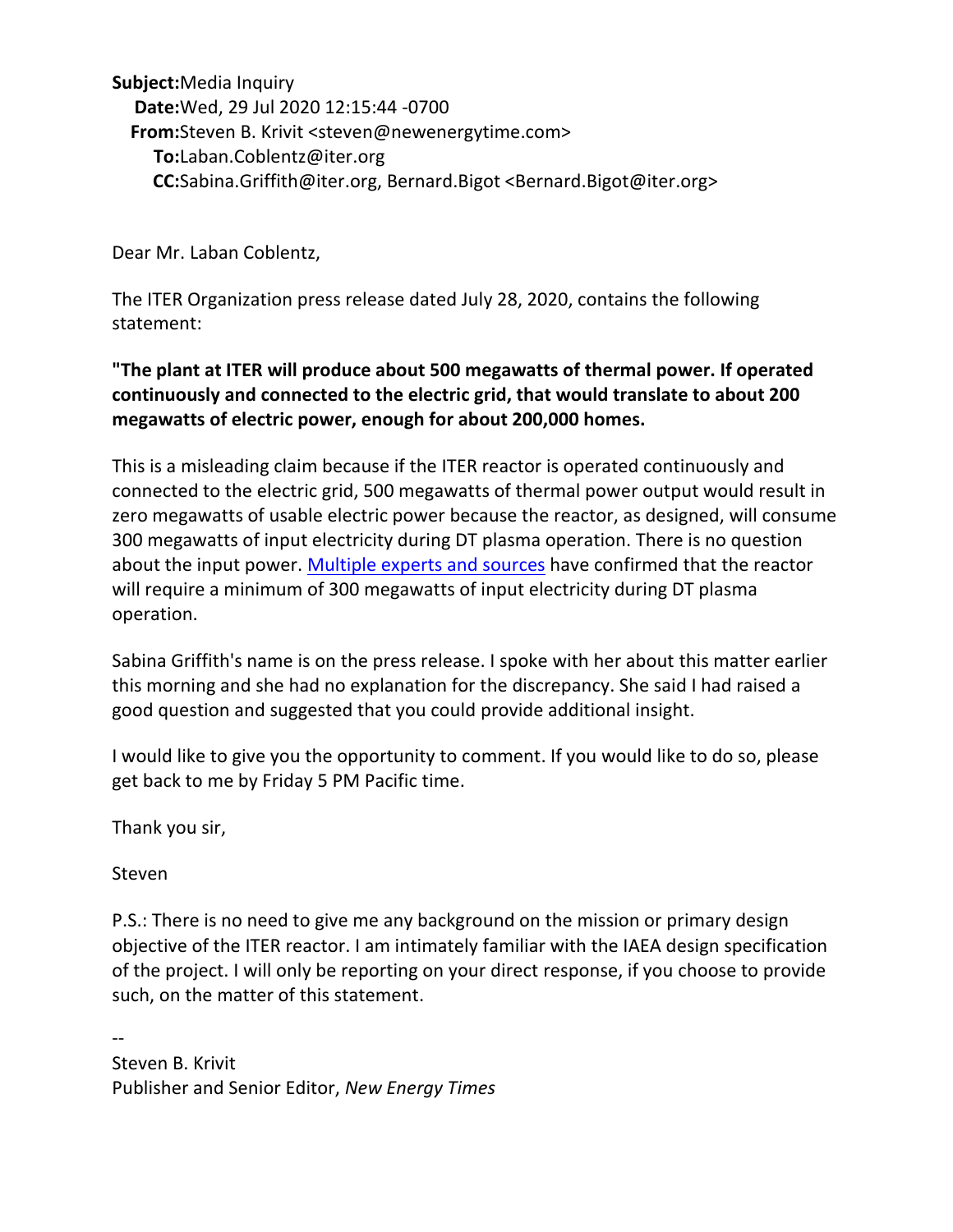**Subject:** Media Inquiry **Date:** Wed, 29 Jul 2020 12:15:44 -0700 **From:** Steven B. Krivit <steven@newenergytime.com> **To:** Laban.Coblentz@iter.org **CC:** Sabina.Griffith@iter.org, Bernard.Bigot <Bernard.Bigot@iter.org>

Dear Mr. Laban Coblentz,

The ITER Organization press release dated July 28, 2020, contains the following statement:

## **"The plant at ITER will produce about 500 megawatts of thermal power. If operated continuously and connected to the electric grid, that would translate to about 200 megawatts of electric power, enough for about 200,000 homes.**

This is a misleading claim because if the ITER reactor is operated continuously and connected to the electric grid, 500 megawatts of thermal power output would result in zero megawatts of usable electric power because the reactor, as designed, will consume 300 megawatts of input electricity during DT plasma operation. There is no question about the input power. [Multiple experts and sources](http://news.newenergytimes.net/iter-historical-resources/) have confirmed that the reactor will require a minimum of 300 megawatts of input electricity during DT plasma operation.

Sabina Griffith's name is on the press release. I spoke with her about this matter earlier this morning and she had no explanation for the discrepancy. She said I had raised a good question and suggested that you could provide additional insight.

I would like to give you the opportunity to comment. If you would like to do so, please get back to me by Friday 5 PM Pacific time.

Thank you sir,

Steven

P.S.: There is no need to give me any background on the mission or primary design objective of the ITER reactor. I am intimately familiar with the IAEA design specification of the project. I will only be reporting on your direct response, if you choose to provide such, on the matter of this statement.

-- Steven B. Krivit Publisher and Senior Editor, *New Energy Times*